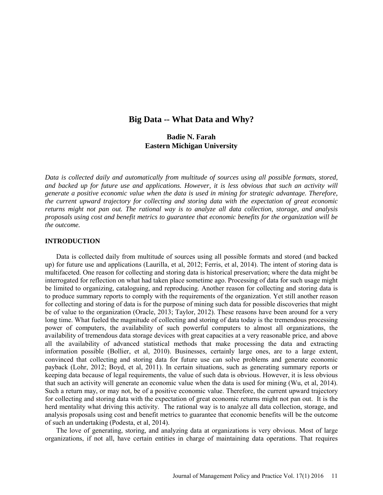# **Big Data -- What Data and Why?**

# **Badie N. Farah Eastern Michigan University**

*Data is collected daily and automatically from multitude of sources using all possible formats, stored, and backed up for future use and applications. However, it is less obvious that such an activity will generate a positive economic value when the data is used in mining for strategic advantage. Therefore, the current upward trajectory for collecting and storing data with the expectation of great economic returns might not pan out. The rational way is to analyze all data collection, storage, and analysis proposals using cost and benefit metrics to guarantee that economic benefits for the organization will be the outcome.* 

### **INTRODUCTION**

Data is collected daily from multitude of sources using all possible formats and stored (and backed up) for future use and applications (Laurilla, et al, 2012; Ferris, et al, 2014). The intent of storing data is multifaceted. One reason for collecting and storing data is historical preservation; where the data might be interrogated for reflection on what had taken place sometime ago. Processing of data for such usage might be limited to organizing, cataloguing, and reproducing. Another reason for collecting and storing data is to produce summary reports to comply with the requirements of the organization. Yet still another reason for collecting and storing of data is for the purpose of mining such data for possible discoveries that might be of value to the organization (Oracle, 2013; Taylor, 2012). These reasons have been around for a very long time. What fueled the magnitude of collecting and storing of data today is the tremendous processing power of computers, the availability of such powerful computers to almost all organizations, the availability of tremendous data storage devices with great capacities at a very reasonable price, and above all the availability of advanced statistical methods that make processing the data and extracting information possible (Bollier, et al, 2010). Businesses, certainly large ones, are to a large extent, convinced that collecting and storing data for future use can solve problems and generate economic payback (Lohr, 2012; Boyd, et al, 2011). In certain situations, such as generating summary reports or keeping data because of legal requirements, the value of such data is obvious. However, it is less obvious that such an activity will generate an economic value when the data is used for mining (Wu, et al, 2014). Such a return may, or may not, be of a positive economic value. Therefore, the current upward trajectory for collecting and storing data with the expectation of great economic returns might not pan out. It is the herd mentality what driving this activity. The rational way is to analyze all data collection, storage, and analysis proposals using cost and benefit metrics to guarantee that economic benefits will be the outcome of such an undertaking (Podesta, et al, 2014).

The love of generating, storing, and analyzing data at organizations is very obvious. Most of large organizations, if not all, have certain entities in charge of maintaining data operations. That requires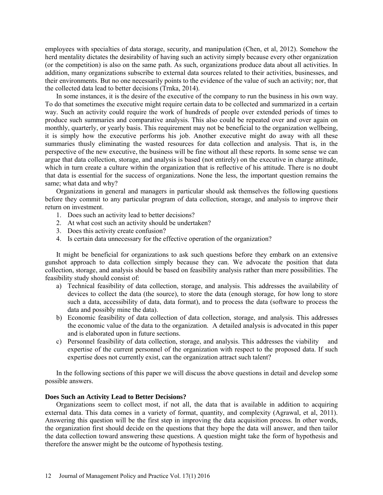employees with specialties of data storage, security, and manipulation (Chen, et al, 2012). Somehow the herd mentality dictates the desirability of having such an activity simply because every other organization (or the competition) is also on the same path. As such, organizations produce data about all activities. In addition, many organizations subscribe to external data sources related to their activities, businesses, and their environments. But no one necessarily points to the evidence of the value of such an activity; nor, that the collected data lead to better decisions (Trnka, 2014).

In some instances, it is the desire of the executive of the company to run the business in his own way. To do that sometimes the executive might require certain data to be collected and summarized in a certain way. Such an activity could require the work of hundreds of people over extended periods of times to produce such summaries and comparative analysis. This also could be repeated over and over again on monthly, quarterly, or yearly basis. This requirement may not be beneficial to the organization wellbeing, it is simply how the executive performs his job. Another executive might do away with all these summaries thusly eliminating the wasted resources for data collection and analysis. That is, in the perspective of the new executive, the business will be fine without all these reports. In some sense we can argue that data collection, storage, and analysis is based (not entirely) on the executive in charge attitude, which in turn create a culture within the organization that is reflective of his attitude. There is no doubt that data is essential for the success of organizations. None the less, the important question remains the same; what data and why?

Organizations in general and managers in particular should ask themselves the following questions before they commit to any particular program of data collection, storage, and analysis to improve their return on investment.

- 1. Does such an activity lead to better decisions?
- 2. At what cost such an activity should be undertaken?
- 3. Does this activity create confusion?
- 4. Is certain data unnecessary for the effective operation of the organization?

It might be beneficial for organizations to ask such questions before they embark on an extensive gunshot approach to data collection simply because they can. We advocate the position that data collection, storage, and analysis should be based on feasibility analysis rather than mere possibilities. The feasibility study should consist of:

- a) Technical feasibility of data collection, storage, and analysis. This addresses the availability of devices to collect the data (the source), to store the data (enough storage, for how long to store such a data, accessibility of data, data format), and to process the data (software to process the data and possibly mine the data).
- b) Economic feasibility of data collection of data collection, storage, and analysis. This addresses the economic value of the data to the organization. A detailed analysis is advocated in this paper and is elaborated upon in future sections.
- c) Personnel feasibility of data collection, storage, and analysis. This addresses the viability expertise of the current personnel of the organization with respect to the proposed data. If such expertise does not currently exist, can the organization attract such talent?

In the following sections of this paper we will discuss the above questions in detail and develop some possible answers.

# **Does Such an Activity Lead to Better Decisions?**

Organizations seem to collect most, if not all, the data that is available in addition to acquiring external data. This data comes in a variety of format, quantity, and complexity (Agrawal, et al, 2011). Answering this question will be the first step in improving the data acquisition process. In other words, the organization first should decide on the questions that they hope the data will answer, and then tailor the data collection toward answering these questions. A question might take the form of hypothesis and therefore the answer might be the outcome of hypothesis testing.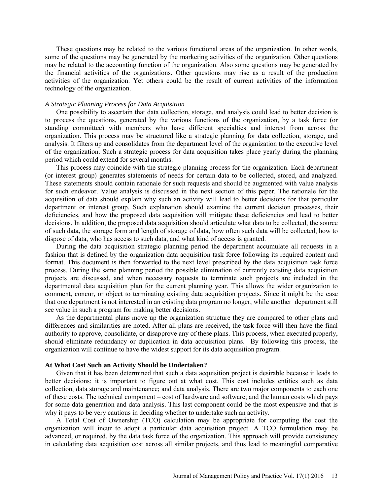These questions may be related to the various functional areas of the organization. In other words, some of the questions may be generated by the marketing activities of the organization. Other questions may be related to the accounting function of the organization. Also some questions may be generated by the financial activities of the organizations. Other questions may rise as a result of the production activities of the organization. Yet others could be the result of current activities of the information technology of the organization.

## *A Strategic Planning Process for Data Acquisition*

One possibility to ascertain that data collection, storage, and analysis could lead to better decision is to process the questions, generated by the various functions of the organization, by a task force (or standing committee) with members who have different specialties and interest from across the organization. This process may be structured like a strategic planning for data collection, storage, and analysis. It filters up and consolidates from the department level of the organization to the executive level of the organization. Such a strategic process for data acquisition takes place yearly during the planning period which could extend for several months.

This process may coincide with the strategic planning process for the organization. Each department (or interest group) generates statements of needs for certain data to be collected, stored, and analyzed. These statements should contain rationale for such requests and should be augmented with value analysis for such endeavor. Value analysis is discussed in the next section of this paper. The rationale for the acquisition of data should explain why such an activity will lead to better decisions for that particular department or interest group. Such explanation should examine the current decision processes, their deficiencies, and how the proposed data acquisition will mitigate these deficiencies and lead to better decisions. In addition, the proposed data acquisition should articulate what data to be collected, the source of such data, the storage form and length of storage of data, how often such data will be collected, how to dispose of data, who has access to such data, and what kind of access is granted.

During the data acquisition strategic planning period the department accumulate all requests in a fashion that is defined by the organization data acquisition task force following its required content and format. This document is then forwarded to the next level prescribed by the data acquisition task force process. During the same planning period the possible elimination of currently existing data acquisition projects are discussed, and when necessary requests to terminate such projects are included in the departmental data acquisition plan for the current planning year. This allows the wider organization to comment, concur, or object to terminating existing data acquisition projects. Since it might be the case that one department is not interested in an existing data program no longer, while another department still see value in such a program for making better decisions.

As the departmental plans move up the organization structure they are compared to other plans and differences and similarities are noted. After all plans are received, the task force will then have the final authority to approve, consolidate, or disapprove any of these plans. This process, when executed properly, should eliminate redundancy or duplication in data acquisition plans. By following this process, the organization will continue to have the widest support for its data acquisition program.

# **At What Cost Such an Activity Should be Undertaken?**

Given that it has been determined that such a data acquisition project is desirable because it leads to better decisions; it is important to figure out at what cost. This cost includes entities such as data collection, data storage and maintenance; and data analysis. There are two major components to each one of these costs. The technical component – cost of hardware and software; and the human costs which pays for some data generation and data analysis. This last component could be the most expensive and that is why it pays to be very cautious in deciding whether to undertake such an activity.

A Total Cost of Ownership (TCO) calculation may be appropriate for computing the cost the organization will incur to adopt a particular data acquisition project. A TCO formulation may be advanced, or required, by the data task force of the organization. This approach will provide consistency in calculating data acquisition cost across all similar projects, and thus lead to meaningful comparative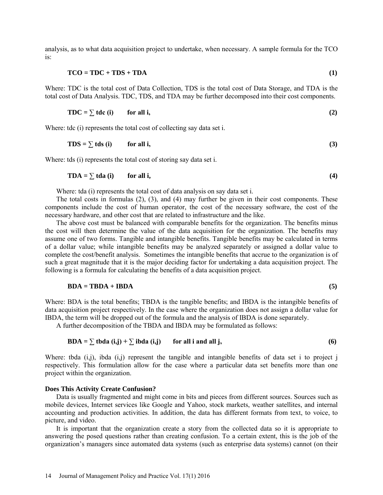analysis, as to what data acquisition project to undertake, when necessary. A sample formula for the TCO is:

$$
TCO = TDC + TDS + TDA
$$
 (1)

Where: TDC is the total cost of Data Collection, TDS is the total cost of Data Storage, and TDA is the total cost of Data Analysis. TDC, TDS, and TDA may be further decomposed into their cost components.

$$
TDC = \sum tdc (i) \qquad \text{for all } i,
$$
 (2)

Where: tdc (i) represents the total cost of collecting say data set i.

$$
TDS = \sum \text{tds (i)} \qquad \text{for all } i,
$$
 (3)

Where: tds (i) represents the total cost of storing say data set i.

$$
TDA = \sum \text{tda} \text{ (i)} \qquad \text{for all } i,
$$
 (4)

Where: tda (i) represents the total cost of data analysis on say data set i.

The total costs in formulas (2), (3), and (4) may further be given in their cost components. These components include the cost of human operator, the cost of the necessary software, the cost of the necessary hardware, and other cost that are related to infrastructure and the like.

The above cost must be balanced with comparable benefits for the organization. The benefits minus the cost will then determine the value of the data acquisition for the organization. The benefits may assume one of two forms. Tangible and intangible benefits. Tangible benefits may be calculated in terms of a dollar value; while intangible benefits may be analyzed separately or assigned a dollar value to complete the cost/benefit analysis. Sometimes the intangible benefits that accrue to the organization is of such a great magnitude that it is the major deciding factor for undertaking a data acquisition project. The following is a formula for calculating the benefits of a data acquisition project.

### $BDA = TBDA + IBDA$  (5)

Where: BDA is the total benefits; TBDA is the tangible benefits; and IBDA is the intangible benefits of data acquisition project respectively. In the case where the organization does not assign a dollar value for IBDA, the term will be dropped out of the formula and the analysis of IBDA is done separately.

A further decomposition of the TBDA and IBDA may be formulated as follows:

$$
BDA = \sum \text{tbda} (i,j) + \sum \text{ibda} (i,j) \qquad \text{for all } i \text{ and all } j,
$$
 (6)

Where: tbda (i,j), ibda (i,j) represent the tangible and intangible benefits of data set i to project j respectively. This formulation allow for the case where a particular data set benefits more than one project within the organization.

#### **Does This Activity Create Confusion?**

Data is usually fragmented and might come in bits and pieces from different sources. Sources such as mobile devices, Internet services like Google and Yahoo, stock markets, weather satellites, and internal accounting and production activities. In addition, the data has different formats from text, to voice, to picture, and video.

It is important that the organization create a story from the collected data so it is appropriate to answering the posed questions rather than creating confusion. To a certain extent, this is the job of the organization's managers since automated data systems (such as enterprise data systems) cannot (on their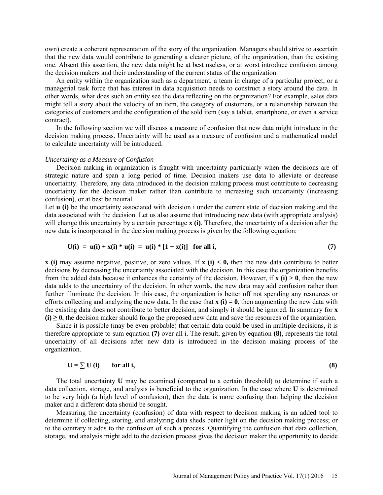own) create a coherent representation of the story of the organization. Managers should strive to ascertain that the new data would contribute to generating a clearer picture, of the organization, than the existing one. Absent this assertion, the new data might be at best useless, or at worst introduce confusion among the decision makers and their understanding of the current status of the organization.

An entity within the organization such as a department, a team in charge of a particular project, or a managerial task force that has interest in data acquisition needs to construct a story around the data. In other words, what does such an entity see the data reflecting on the organization? For example, sales data might tell a story about the velocity of an item, the category of customers, or a relationship between the categories of customers and the configuration of the sold item (say a tablet, smartphone, or even a service contract).

In the following section we will discuss a measure of confusion that new data might introduce in the decision making process. Uncertainty will be used as a measure of confusion and a mathematical model to calculate uncertainty will be introduced.

### *Uncertainty as a Measure of Confusion*

Decision making in organization is fraught with uncertainty particularly when the decisions are of strategic nature and span a long period of time. Decision makers use data to alleviate or decrease uncertainty. Therefore, any data introduced in the decision making process must contribute to decreasing uncertainty for the decision maker rather than contribute to increasing such uncertainty (increasing confusion), or at best be neutral.

Let **u** (i) be the uncertainty associated with decision i under the current state of decision making and the data associated with the decision. Let us also assume that introducing new data (with appropriate analysis) will change this uncertainty by a certain percentage **x** (i). Therefore, the uncertainty of a decision after the new data is incorporated in the decision making process is given by the following equation:

$$
U(i) = u(i) + x(i) * u(i) = u(i) * [1 + x(i)] \text{ for all } i,
$$
 (7)

**x (i)** may assume negative, positive, or zero values. If **x (i) < 0,** then the new data contribute to better decisions by decreasing the uncertainty associated with the decision. In this case the organization benefits from the added data because it enhances the certainty of the decision. However, if **x (i) > 0**, then the new data adds to the uncertainty of the decision. In other words, the new data may add confusion rather than further illuminate the decision. In this case, the organization is better off not spending any resources or efforts collecting and analyzing the new data. In the case that  $\mathbf{x}$  (i) = 0, then augmenting the new data with the existing data does not contribute to better decision, and simply it should be ignored. In summary for **x**   $(i) \geq 0$ , the decision maker should forgo the proposed new data and save the resources of the organization.

Since it is possible (may be even probable) that certain data could be used in multiple decisions, it is therefore appropriate to sum equation **(7)** over all i. The result, given by equation **(8)**, represents the total uncertainty of all decisions after new data is introduced in the decision making process of the organization.

$$
U = \sum U(i) \quad \text{for all } i,
$$
 (8)

The total uncertainty **U** may be examined (compared to a certain threshold) to determine if such a data collection, storage, and analysis is beneficial to the organization. In the case where **U** is determined to be very high (a high level of confusion), then the data is more confusing than helping the decision maker and a different data should be sought.

Measuring the uncertainty (confusion) of data with respect to decision making is an added tool to determine if collecting, storing, and analyzing data sheds better light on the decision making process; or to the contrary it adds to the confusion of such a process. Quantifying the confusion that data collection, storage, and analysis might add to the decision process gives the decision maker the opportunity to decide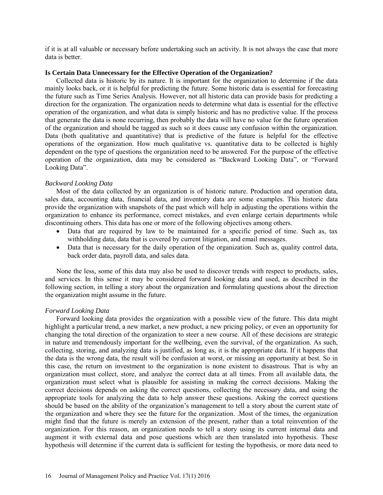if it is at all valuable or necessary before undertaking such an activity. It is not always the case that more data is better.

## **Is Certain Data Unnecessary for the Effective Operation of the Organization?**

Collected data is historic by its nature. It is important for the organization to determine if the data mainly looks back, or it is helpful for predicting the future. Some historic data is essential for forecasting the future such as Time Series Analysis. However, not all historic data can provide basis for predicting a direction for the organization. The organization needs to determine what data is essential for the effective operation of the organization, and what data is simply historic and has no predictive value. If the process that generate the data is none recurring, then probably the data will have no value for the future operation of the organization and should be tagged as such so it does cause any confusion within the organization. Data (both qualitative and quantitative) that is predictive of the future is helpful for the effective operations of the organization. How much qualitative vs. quantitative data to be collected is highly dependent on the type of questions the organization need to be answered. For the purpose of the effective operation of the organization, data may be considered as "Backward Looking Data", or "Forward Looking Data".

# *Backward Looking Data*

Most of the data collected by an organization is of historic nature. Production and operation data, sales data, accounting data, financial data, and inventory data are some examples. This historic data provide the organization with snapshots of the past which will help in adjusting the operations within the organization to enhance its performance, correct mistakes, and even enlarge certain departments while discontinuing others. This data has one or more of the following objectives among others.

- Data that are required by law to be maintained for a specific period of time. Such as, tax withholding data, data that is covered by current litigation, and email messages.
- Data that is necessary for the daily operation of the organization. Such as, quality control data, back order data, payroll data, and sales data.

None the less, some of this data may also be used to discover trends with respect to products, sales, and services. In this sense it may be considered forward looking data and used, as described in the following section, in telling a story about the organization and formulating questions about the direction the organization might assume in the future.

## *Forward Looking Data*

Forward looking data provides the organization with a possible view of the future. This data might highlight a particular trend, a new market, a new product, a new pricing policy, or even an opportunity for changing the total direction of the organization to steer a new course. All of these decisions are strategic in nature and tremendously important for the wellbeing, even the survival, of the organization. As such, collecting, storing, and analyzing data is justified, as long as, it is the appropriate data. If it happens that the data is the wrong data, the result will be confusion at worst, or missing an opportunity at best. So in this case, the return on investment to the organization is none existent to disastrous. That is why an organization must collect, store, and analyze the correct data at all times. From all available data, the organization must select what is plausible for assisting in making the correct decisions. Making the correct decisions depends on asking the correct questions, collecting the necessary data, and using the appropriate tools for analyzing the data to help answer these questions. Asking the correct questions should be based on the ability of the organization's management to tell a story about the current state of the organization and where they see the future for the organization. .Most of the times, the organization might find that the future is merely an extension of the present, rather than a total reinvention of the organization. For this reason, an organization needs to tell a story using its current internal data and augment it with external data and pose questions which are then translated into hypothesis. These hypothesis will determine if the current data is sufficient for testing the hypothesis, or more data need to